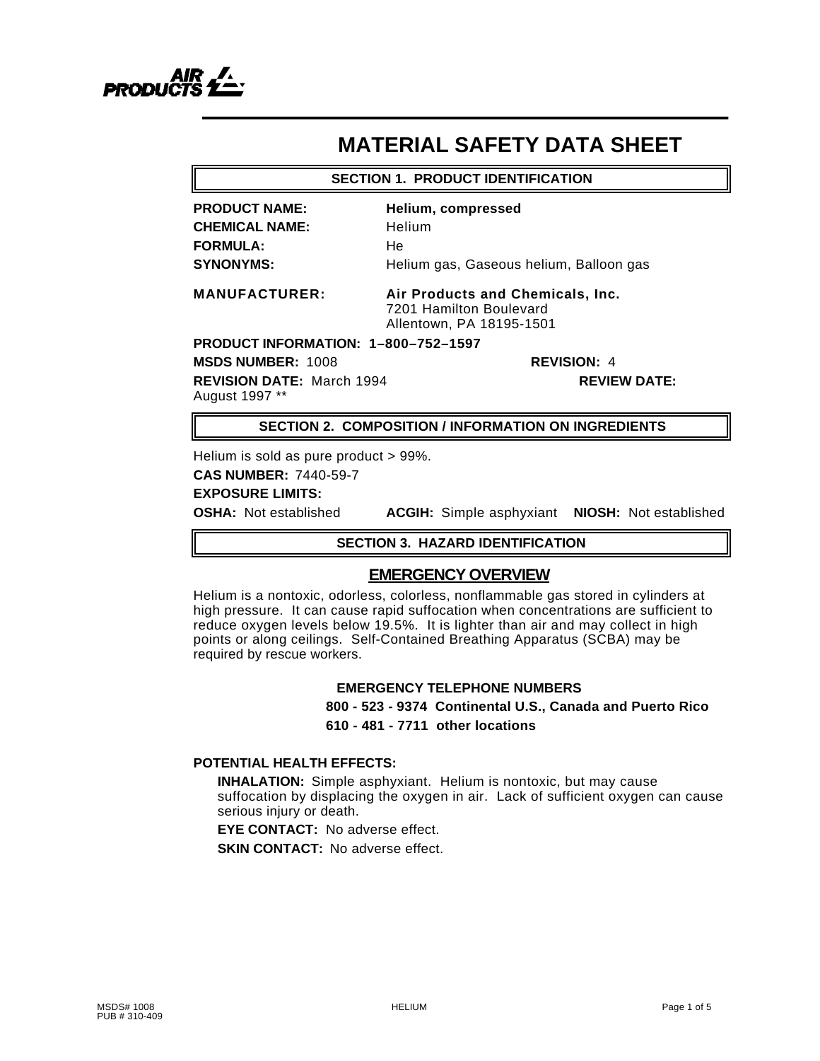

# **MATERIAL SAFETY DATA SHEET**

#### **SECTION 1. PRODUCT IDENTIFICATION**

**PRODUCT NAME: Helium, compressed CHEMICAL NAME:** Helium **FORMULA:** He

**SYNONYMS:** Helium gas, Gaseous helium, Balloon gas

**MANUFACTURER: Air Products and Chemicals, Inc.** 7201 Hamilton Boulevard Allentown, PA 18195-1501

**PRODUCT INFORMATION: 1–800–752–1597**

**MSDS NUMBER:** 1008 **REVISION:** 4

**REVISION DATE:** March 1994 **REVIEW DATE:** August 1997 \*\*

### **SECTION 2. COMPOSITION / INFORMATION ON INGREDIENTS**

Helium is sold as pure product > 99%.

**CAS NUMBER:** 7440-59-7

# **EXPOSURE LIMITS:**

**OSHA:** Not established **ACGIH:** Simple asphyxiant **NIOSH:** Not established

#### **SECTION 3. HAZARD IDENTIFICATION**

# **EMERGENCY OVERVIEW**

Helium is a nontoxic, odorless, colorless, nonflammable gas stored in cylinders at high pressure. It can cause rapid suffocation when concentrations are sufficient to reduce oxygen levels below 19.5%. It is lighter than air and may collect in high points or along ceilings. Self-Contained Breathing Apparatus (SCBA) may be required by rescue workers.

# **EMERGENCY TELEPHONE NUMBERS**

**800 - 523 - 9374 Continental U.S., Canada and Puerto Rico 610 - 481 - 7711 other locations**

# **POTENTIAL HEALTH EFFECTS:**

**INHALATION:** Simple asphyxiant. Helium is nontoxic, but may cause suffocation by displacing the oxygen in air. Lack of sufficient oxygen can cause serious injury or death.

**EYE CONTACT:** No adverse effect. **SKIN CONTACT:** No adverse effect.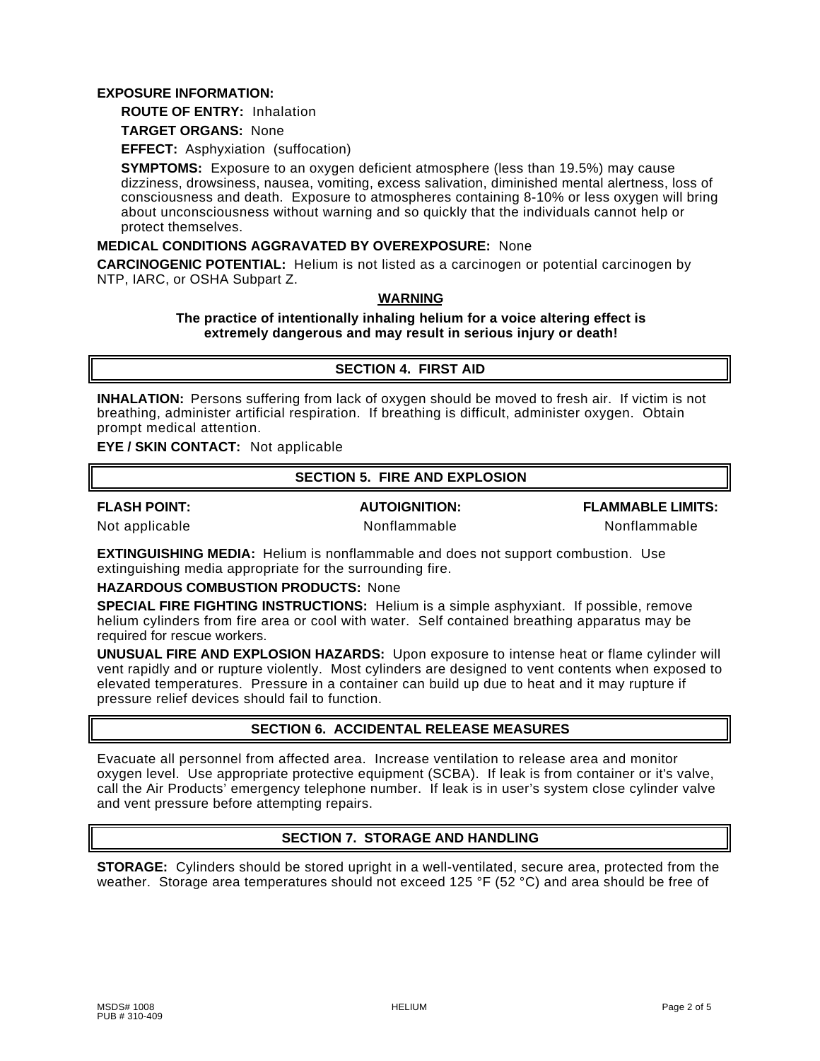#### **EXPOSURE INFORMATION:**

## **ROUTE OF ENTRY:** Inhalation

**TARGET ORGANS:** None

**EFFECT:** Asphyxiation (suffocation)

**SYMPTOMS:** Exposure to an oxygen deficient atmosphere (less than 19.5%) may cause dizziness, drowsiness, nausea, vomiting, excess salivation, diminished mental alertness, loss of consciousness and death. Exposure to atmospheres containing 8-10% or less oxygen will bring about unconsciousness without warning and so quickly that the individuals cannot help or protect themselves.

#### **MEDICAL CONDITIONS AGGRAVATED BY OVEREXPOSURE:** None

**CARCINOGENIC POTENTIAL:** Helium is not listed as a carcinogen or potential carcinogen by NTP, IARC, or OSHA Subpart Z.

#### **WARNING**

#### **The practice of intentionally inhaling helium for a voice altering effect is extremely dangerous and may result in serious injury or death!**

# **SECTION 4. FIRST AID**

**INHALATION:** Persons suffering from lack of oxygen should be moved to fresh air. If victim is not breathing, administer artificial respiration. If breathing is difficult, administer oxygen. Obtain prompt medical attention.

**EYE / SKIN CONTACT:** Not applicable

### **SECTION 5. FIRE AND EXPLOSION**

**FLASH POINT: AUTOIGNITION: FLAMMABLE LIMITS:**

Not applicable **Nonflammable** Nonflammable **Nonflammable** Nonflammable

**EXTINGUISHING MEDIA:** Helium is nonflammable and does not support combustion. Use extinguishing media appropriate for the surrounding fire.

**HAZARDOUS COMBUSTION PRODUCTS:** None

**SPECIAL FIRE FIGHTING INSTRUCTIONS:** Helium is a simple asphyxiant. If possible, remove helium cylinders from fire area or cool with water. Self contained breathing apparatus may be required for rescue workers.

**UNUSUAL FIRE AND EXPLOSION HAZARDS:** Upon exposure to intense heat or flame cylinder will vent rapidly and or rupture violently. Most cylinders are designed to vent contents when exposed to elevated temperatures. Pressure in a container can build up due to heat and it may rupture if pressure relief devices should fail to function.

# **SECTION 6. ACCIDENTAL RELEASE MEASURES**

Evacuate all personnel from affected area. Increase ventilation to release area and monitor oxygen level. Use appropriate protective equipment (SCBA). If leak is from container or it's valve, call the Air Products' emergency telephone number. If leak is in user's system close cylinder valve and vent pressure before attempting repairs.

# **SECTION 7. STORAGE AND HANDLING**

**STORAGE:** Cylinders should be stored upright in a well-ventilated, secure area, protected from the weather. Storage area temperatures should not exceed 125 °F (52 °C) and area should be free of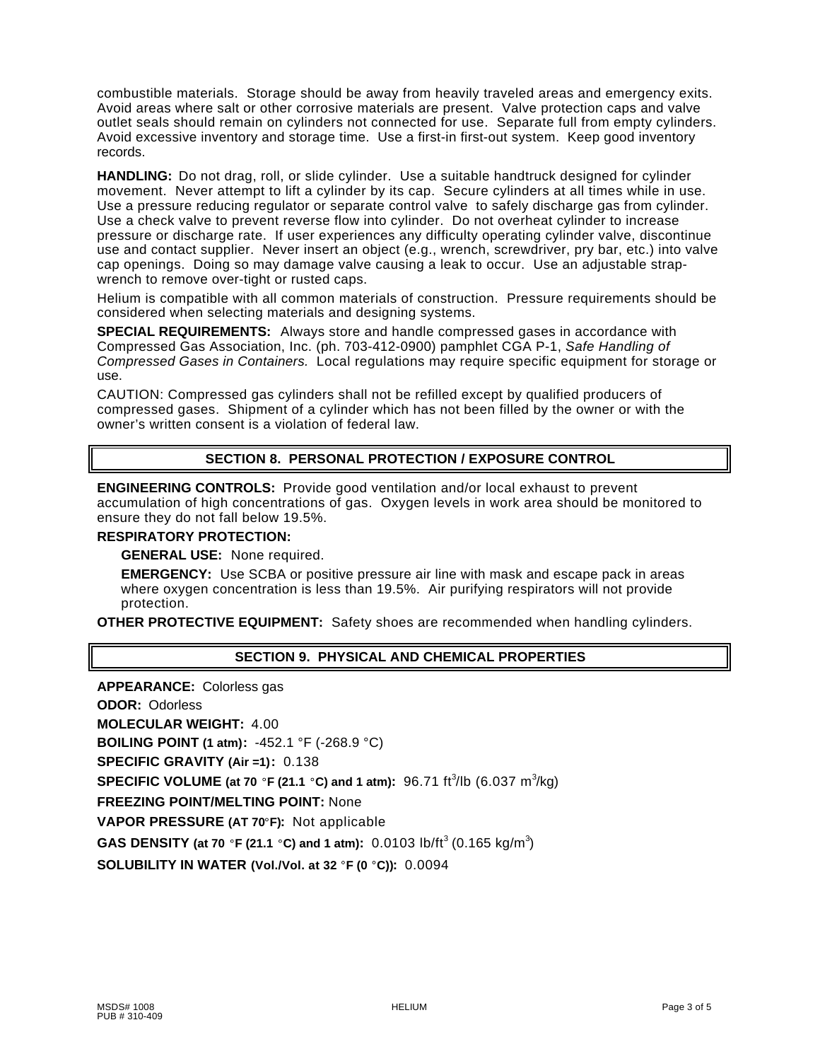combustible materials. Storage should be away from heavily traveled areas and emergency exits. Avoid areas where salt or other corrosive materials are present. Valve protection caps and valve outlet seals should remain on cylinders not connected for use. Separate full from empty cylinders. Avoid excessive inventory and storage time. Use a first-in first-out system. Keep good inventory records.

**HANDLING:** Do not drag, roll, or slide cylinder. Use a suitable handtruck designed for cylinder movement. Never attempt to lift a cylinder by its cap. Secure cylinders at all times while in use. Use a pressure reducing regulator or separate control valve to safely discharge gas from cylinder. Use a check valve to prevent reverse flow into cylinder. Do not overheat cylinder to increase pressure or discharge rate. If user experiences any difficulty operating cylinder valve, discontinue use and contact supplier. Never insert an object (e.g., wrench, screwdriver, pry bar, etc.) into valve cap openings. Doing so may damage valve causing a leak to occur. Use an adjustable strapwrench to remove over-tight or rusted caps.

Helium is compatible with all common materials of construction. Pressure requirements should be considered when selecting materials and designing systems.

**SPECIAL REQUIREMENTS:** Always store and handle compressed gases in accordance with Compressed Gas Association, Inc. (ph. 703-412-0900) pamphlet CGA P-1, *Safe Handling of Compressed Gases in Containers.* Local regulations may require specific equipment for storage or use.

CAUTION: Compressed gas cylinders shall not be refilled except by qualified producers of compressed gases. Shipment of a cylinder which has not been filled by the owner or with the owner's written consent is a violation of federal law.

# **SECTION 8. PERSONAL PROTECTION / EXPOSURE CONTROL**

**ENGINEERING CONTROLS:** Provide good ventilation and/or local exhaust to prevent accumulation of high concentrations of gas. Oxygen levels in work area should be monitored to ensure they do not fall below 19.5%.

#### **RESPIRATORY PROTECTION:**

**GENERAL USE:** None required.

**EMERGENCY:** Use SCBA or positive pressure air line with mask and escape pack in areas where oxygen concentration is less than 19.5%. Air purifying respirators will not provide protection.

**OTHER PROTECTIVE EQUIPMENT:** Safety shoes are recommended when handling cylinders.

## **SECTION 9. PHYSICAL AND CHEMICAL PROPERTIES**

**APPEARANCE:** Colorless gas **ODOR:** Odorless **MOLECULAR WEIGHT:** 4.00 **BOILING POINT (1 atm):** -452.1 °F (-268.9 °C) **SPECIFIC GRAVITY (Air =1):** 0.138 **SPECIFIC VOLUME** (at 70 °F (21.1 °C) and 1 atm): 96.71 ft<sup>3</sup>/lb (6.037 m<sup>3</sup>/kg) **FREEZING POINT/MELTING POINT:** None **VAPOR PRESSURE (AT 70 F):** Not applicable **GAS DENSITY (at 70 °F (21.1 °C) and 1 atm):** 0.0103 lb/ft<sup>3</sup> (0.165 kg/m<sup>3</sup>) **SOLUBILITY IN WATER (Vol./Vol. at 32 °F (0 °C)): 0.0094**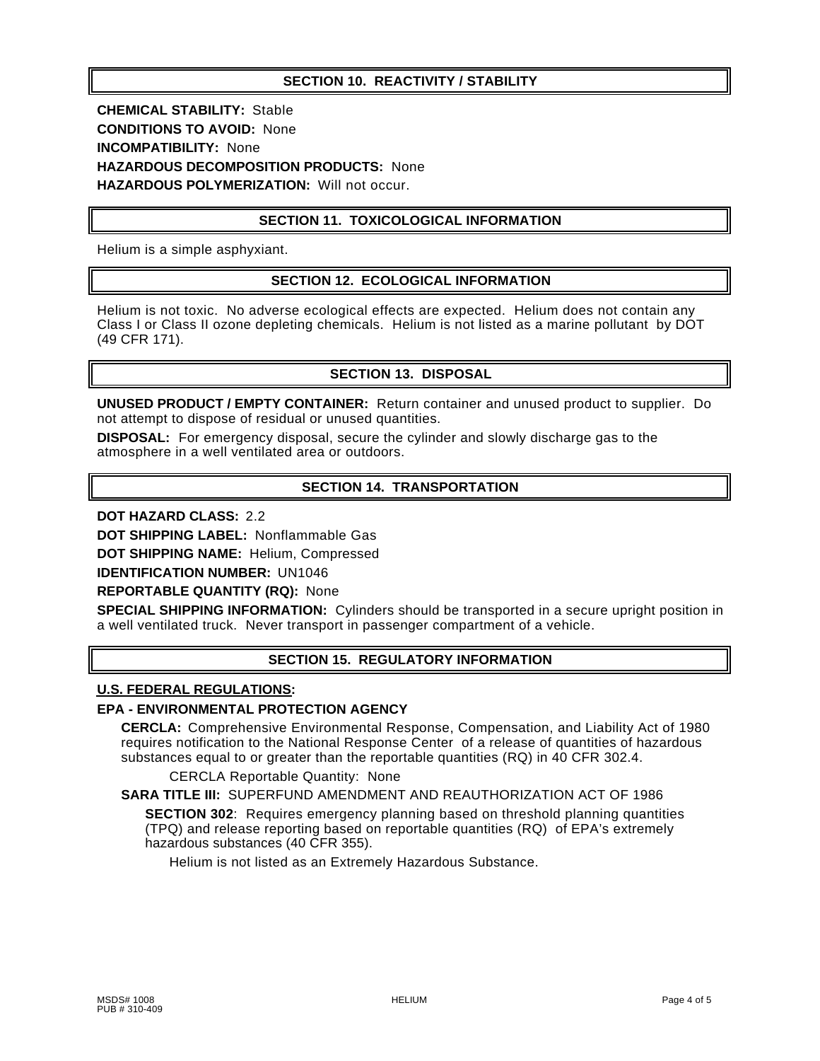# **SECTION 10. REACTIVITY / STABILITY**

**CHEMICAL STABILITY:** Stable **CONDITIONS TO AVOID:** None **INCOMPATIBILITY:** None **HAZARDOUS DECOMPOSITION PRODUCTS:** None **HAZARDOUS POLYMERIZATION:** Will not occur.

# **SECTION 11. TOXICOLOGICAL INFORMATION**

Helium is a simple asphyxiant.

# **SECTION 12. ECOLOGICAL INFORMATION**

Helium is not toxic. No adverse ecological effects are expected. Helium does not contain any Class I or Class II ozone depleting chemicals. Helium is not listed as a marine pollutant by DOT (49 CFR 171).

# **SECTION 13. DISPOSAL**

**UNUSED PRODUCT / EMPTY CONTAINER:** Return container and unused product to supplier. Do not attempt to dispose of residual or unused quantities.

**DISPOSAL:** For emergency disposal, secure the cylinder and slowly discharge gas to the atmosphere in a well ventilated area or outdoors.

# **SECTION 14. TRANSPORTATION**

**DOT HAZARD CLASS:** 2.2

**DOT SHIPPING LABEL:** Nonflammable Gas

**DOT SHIPPING NAME:** Helium, Compressed

**IDENTIFICATION NUMBER:** UN1046

**REPORTABLE QUANTITY (RQ):** None

**SPECIAL SHIPPING INFORMATION:** Cylinders should be transported in a secure upright position in a well ventilated truck. Never transport in passenger compartment of a vehicle.

# **SECTION 15. REGULATORY INFORMATION**

#### **U.S. FEDERAL REGULATIONS:**

#### **EPA - ENVIRONMENTAL PROTECTION AGENCY**

**CERCLA:** Comprehensive Environmental Response, Compensation, and Liability Act of 1980 requires notification to the National Response Center of a release of quantities of hazardous substances equal to or greater than the reportable quantities (RQ) in 40 CFR 302.4.

CERCLA Reportable Quantity: None

## **SARA TITLE III:** SUPERFUND AMENDMENT AND REAUTHORIZATION ACT OF 1986

**SECTION 302**: Requires emergency planning based on threshold planning quantities (TPQ) and release reporting based on reportable quantities (RQ) of EPA's extremely hazardous substances (40 CFR 355).

Helium is not listed as an Extremely Hazardous Substance.